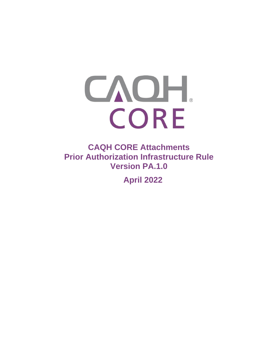# CAOH. CORE

**CAQH CORE Attachments Prior Authorization Infrastructure Rule Version PA.1.0** 

**April 2022**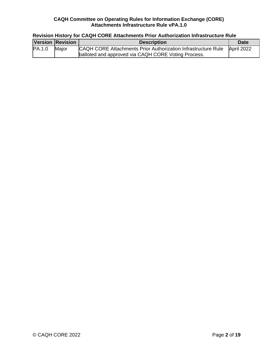# **Revision History for CAQH CORE Attachments Prior Authorization Infrastructure Rule**

|        | Version Revision | <b>Description</b>                                            | <b>Date</b> |
|--------|------------------|---------------------------------------------------------------|-------------|
| PA.1.0 | Major            | CAQH CORE Attachments Prior Authorization Infrastructure Rule | April 2022  |
|        |                  | balloted and approved via CAQH CORE Voting Process.           |             |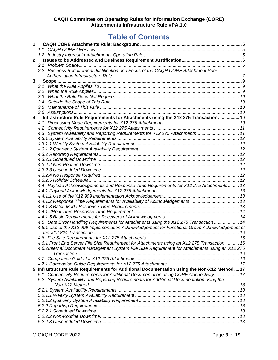# **Table of Contents**

| 1            |                                                                                                 |  |
|--------------|-------------------------------------------------------------------------------------------------|--|
|              |                                                                                                 |  |
|              |                                                                                                 |  |
| $\mathbf{2}$ |                                                                                                 |  |
|              |                                                                                                 |  |
|              | 2.2 Business Requirement Justification and Focus of the CAQH CORE Attachment Prior              |  |
|              |                                                                                                 |  |
| 3            |                                                                                                 |  |
|              |                                                                                                 |  |
|              |                                                                                                 |  |
|              |                                                                                                 |  |
|              |                                                                                                 |  |
|              |                                                                                                 |  |
|              |                                                                                                 |  |
| 4            | Infrastructure Rule Requirements for Attachments using the X12 275 Transaction 10               |  |
|              |                                                                                                 |  |
|              |                                                                                                 |  |
|              | 4.3 System Availability and Reporting Requirements for X12 275 Attachments 11                   |  |
|              |                                                                                                 |  |
|              |                                                                                                 |  |
|              |                                                                                                 |  |
|              |                                                                                                 |  |
|              |                                                                                                 |  |
|              |                                                                                                 |  |
|              |                                                                                                 |  |
|              |                                                                                                 |  |
|              | 4.4 Payload Acknowledgements and Response Time Requirements for X12 275 Attachments 13          |  |
|              |                                                                                                 |  |
|              |                                                                                                 |  |
|              |                                                                                                 |  |
|              |                                                                                                 |  |
|              |                                                                                                 |  |
|              |                                                                                                 |  |
|              | 4.5 Data Error Handling Requirements for Attachments using the X12 275 Transaction  14          |  |
|              | 4.5.1 Use of the X12 999 Implementation Acknowledgement for Functional Group Acknowledgement of |  |
|              |                                                                                                 |  |
|              |                                                                                                 |  |
|              | 4.6.1 Front End Server File Size Requirement for Attachments using an X12 275 Transaction  16   |  |
|              | 4.6.2Internal Document Management System File Size Requirement for Attachments using an X12 275 |  |
|              |                                                                                                 |  |
|              |                                                                                                 |  |
|              |                                                                                                 |  |
|              | 5 Infrastructure Rule Requirements for Additional Documentation using the Non-X12 Method  17    |  |
|              | 5.1 Connectivity Requirements for Additional Documentation using CORE Connectivity 17           |  |
|              | 5.2 System Availability and Reporting Requirements for Additional Documentation using the       |  |
|              |                                                                                                 |  |
|              |                                                                                                 |  |
|              |                                                                                                 |  |
|              |                                                                                                 |  |
|              |                                                                                                 |  |
|              |                                                                                                 |  |
|              |                                                                                                 |  |
|              |                                                                                                 |  |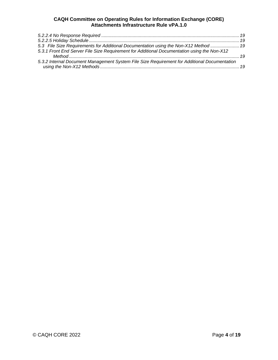| 5.3 File Size Requirements for Additional Documentation using the Non-X12 Method  19         |
|----------------------------------------------------------------------------------------------|
| 5.3.1 Front End Server File Size Requirement for Additional Documentation using the Non-X12  |
|                                                                                              |
| 5.3.2 Internal Document Management System File Size Requirement for Additional Documentation |
|                                                                                              |
|                                                                                              |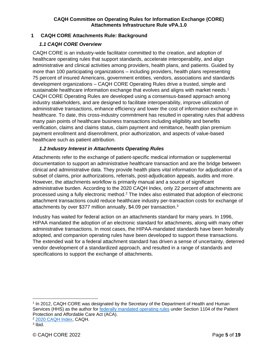# <span id="page-4-0"></span>**1 CAQH CORE Attachments Rule: Background**

#### <span id="page-4-1"></span>*1.1 CAQH CORE Overview*

CAQH CORE is an industry-wide facilitator committed to the creation, and adoption of healthcare operating rules that support standards, accelerate interoperability, and align administrative and clinical activities among providers, health plans, and patients. Guided by more than 100 participating organizations – including providers, health plans representing 75 percent of insured Americans, government entities, vendors, associations and standards development organizations – CAQH CORE Operating Rules drive a trusted, simple and sustainable healthcare information exchange that evolves and aligns with market needs.<sup>1</sup> CAQH CORE Operating Rules are developed using a consensus-based approach among industry stakeholders, and are designed to facilitate interoperability, improve utilization of administrative transactions, enhance efficiency and lower the cost of information exchange in healthcare. To date, this cross-industry commitment has resulted in operating rules that address many pain points of healthcare business transactions including eligibility and benefits verification, claims and claims status, claim payment and remittance, health plan premium payment enrollment and disenrollment, prior authorization, and aspects of value-based healthcare such as patient attribution.

#### <span id="page-4-2"></span>*1.2 Industry Interest in Attachments Operating Rules*

Attachments refer to the exchange of patient-specific medical information or supplemental documentation to support an administrative healthcare transaction and are the bridge between clinical and administrative data. They provide health plans vital information for adjudication of a subset of claims, prior authorizations, referrals, post-adjudication appeals, audits and more. However, the attachments workflow is primarily manual and a source of significant administrative burden. According to the 2020 CAQH Index, only 22 percent of attachments are processed using a fully electronic method.<sup>2</sup> The Index also estimated that adoption of electronic attachment transactions could reduce healthcare industry per-transaction costs for exchange of attachments by over \$377 million annually, \$4.09 per transaction.<sup>3</sup>

Industry has waited for federal action on an attachments standard for many years. In 1996, HIPAA mandated the adoption of an electronic standard for attachments, along with many other administrative transactions. In most cases, the HIPAA-mandated standards have been federally adopted, and companion operating rules have been developed to support these transactions. The extended wait for a federal attachment standard has driven a sense of uncertainty, deterred vendor development of a standardized approach, and resulted in a range of standards and specifications to support the exchange of attachments.

<sup>1</sup> In 2012, CAQH CORE was designated by the Secretary of the Department of Health and Human Services (HHS) as the author for [federally mandated operating rules](https://www.cms.gov/Regulations-and-Guidance/Administrative-Simplification/Operating-Rules/OperatingRulesOverview) under Section 1104 of the Patient Protection and Affordable Care Act (ACA).

<sup>2</sup> [2020 CAQH Index,](https://www.caqh.org/sites/default/files/explorations/index/2020-caqh-index.pdf) CAQH.

<sup>&</sup>lt;sup>3</sup> Ibid.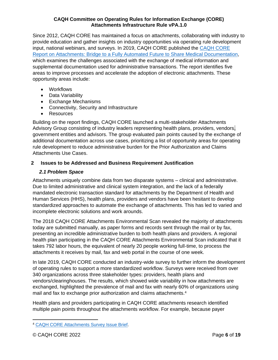Since 2012, CAQH CORE has maintained a focus on attachments, collaborating with industry to provide education and gather insights on industry opportunities via operating rule development input, national webinars, and surveys. In 2019, CAQH CORE published the [CAQH CORE](https://www.caqh.org/sites/default/files/core/core-attachments-environmental-scan-report.pdf?token=qLyOezlD)  [Report on Attachments: Bridge to a Fully Automated Future to Share Medical Documentation,](https://www.caqh.org/sites/default/files/core/core-attachments-environmental-scan-report.pdf?token=qLyOezlD) which examines the challenges associated with the exchange of medical information and supplemental documentation used for administrative transactions. The report identifies five areas to improve processes and accelerate the adoption of electronic attachments. These opportunity areas include:

- Workflows
- Data Variability
- Exchange Mechanisms
- Connectivity, Security and Infrastructure
- Resources

Building on the report findings, CAQH CORE launched a multi-stakeholder Attachments Advisory Group consisting of industry leaders representing health plans, providers, vendors, government entities and advisors. The group evaluated pain points caused by the exchange of additional documentation across use cases, prioritizing a list of opportunity areas for operating rule development to reduce administrative burden for the Prior Authorization and Claims Attachments Use Cases.

# <span id="page-5-0"></span>**2 Issues to be Addressed and Business Requirement Justification**

# <span id="page-5-1"></span>*2.1 Problem Space*

Attachments uniquely combine data from two disparate systems – clinical and administrative. Due to limited administrative and clinical system integration, and the lack of a federally mandated electronic transaction standard for attachments by the Department of Health and Human Services (HHS), health plans, providers and vendors have been hesitant to develop standardized approaches to automate the exchange of attachments. This has led to varied and incomplete electronic solutions and work arounds.

The 2018 CAQH CORE Attachments Environmental Scan revealed the majority of attachments today are submitted manually, as paper forms and records sent through the mail or by fax, presenting an incredible administrative burden to both health plans and providers. A regional health plan participating in the CAQH CORE Attachments Environmental Scan indicated that it takes 792 labor hours, the equivalent of nearly 20 people working full-time, to process the attachments it receives by mail, fax and web portal in the course of one week.

In late 2019, CAQH CORE conducted an industry-wide survey to further inform the development of operating rules to support a more standardized workflow. Surveys were received from over 340 organizations across three stakeholder types: providers, health plans and vendors/clearinghouses. The results, which showed wide variability in how attachments are exchanged, highlighted the prevalence of mail and fax with nearly 60% of organizations using mail and fax to exchange prior authorization and claims attachments.<sup>4</sup>

Health plans and providers participating in CAQH CORE attachments research identified multiple pain points throughout the attachments workflow. For example, because payer

<sup>4</sup> [CAQH CORE Attachments Survey Issue Brief.](https://www.caqh.org/sites/default/files/CAQH_CORE_Attachments_Survey_Issue_Brief.pdf)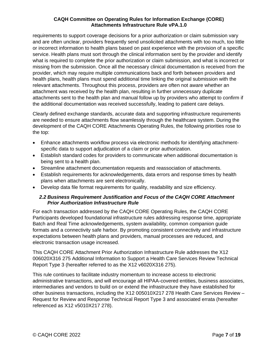requirements to support coverage decisions for a prior authorization or claim submission vary and are often unclear, providers frequently send unsolicited attachments with too much, too little or incorrect information to health plans based on past experience with the provision of a specific service. Health plans must sort through the clinical information sent by the provider and identify what is required to complete the prior authorization or claim submission, and what is incorrect or missing from the submission. Once all the necessary clinical documentation is received from the provider, which may require multiple communications back and forth between providers and health plans, health plans must spend additional time linking the original submission with the relevant attachments. Throughout this process, providers are often not aware whether an attachment was received by the health plan, resulting in further unnecessary duplicate attachments sent to the health plan and manual follow up by providers who attempt to confirm if the additional documentation was received successfully, leading to patient care delays.

Clearly defined exchange standards, accurate data and supporting infrastructure requirements are needed to ensure attachments flow seamlessly through the healthcare system. During the development of the CAQH CORE Attachments Operating Rules, the following priorities rose to the top:

- Enhance attachments workflow process via electronic methods for identifying attachmentspecific data to support adjudication of a claim or prior authorization.
- Establish standard codes for providers to communicate when additional documentation is being sent to a health plan.
- Streamline attachment documentation requests and reassociation of attachments.
- Establish requirements for acknowledgements, data errors and response times by health plans when attachments are sent electronically.
- Develop data file format requirements for quality, readability and size efficiency.

#### <span id="page-6-0"></span>*2.2 Business Requirement Justification and Focus of the CAQH CORE Attachment Prior Authorization Infrastructure Rule*

For each transaction addressed by the CAQH CORE Operating Rules, the CAQH CORE Participants developed foundational infrastructure rules addressing response time, appropriate Batch and Real Time acknowledgements, system availability, common companion guide formats and a connectivity safe harbor. By promoting consistent connectivity and infrastructure expectations between health plans and providers, manual processes are reduced, and electronic transaction usage increased.

This CAQH CORE Attachment Prior Authorization Infrastructure Rule addresses the X12 006020X316 275 Additional Information to Support a Health Care Services Review Technical Report Type 3 (hereafter referred to as the X12 v6020X316 275).

This rule continues to facilitate industry momentum to increase access to electronic administrative transactions, and will encourage all HIPAA-covered entities, business associates, intermediaries and vendors to build on or extend the infrastructure they have established for other business transactions, including the X12 005010X217 278 Health Care Services Review – Request for Review and Response Technical Report Type 3 and associated errata (hereafter referenced as X12 v5010X217 278).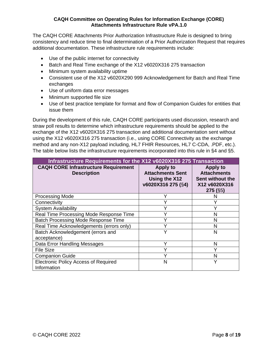The CAQH CORE Attachments Prior Authorization Infrastructure Rule is designed to bring consistency and reduce time to final determination of a Prior Authorization Request that requires additional documentation. These infrastructure rule requirements include:

- Use of the public internet for connectivity
- Batch and Real Time exchange of the X12 v6020X316 275 transaction
- Minimum system availability uptime
- Consistent use of the X12 v6020X290 999 Acknowledgement for Batch and Real Time exchanges
- Use of uniform data error messages
- Minimum supported file size
- Use of best practice template for format and flow of Companion Guides for entities that issue them

During the development of this rule, CAQH CORE participants used discussion, research and straw poll results to determine which infrastructure requirements should be applied to the exchange of the X12 v6020X316 275 transaction and additional documentation sent without using the X12 v6020X316 275 transaction (i.e., using CORE Connectivity as the exchange method and any non-X12 payload including, HL7 FHIR Resources, HL7 C-CDA, .PDF, etc.). The table below lists the infrastructure requirements incorporated into this rule in §4 and §5.

| Infrastructure Requirements for the X12 v6020X316 275 Transaction |                                                                                   |                                                                                          |  |  |  |
|-------------------------------------------------------------------|-----------------------------------------------------------------------------------|------------------------------------------------------------------------------------------|--|--|--|
| <b>CAQH CORE Infrastructure Requirement</b><br><b>Description</b> | <b>Apply to</b><br><b>Attachments Sent</b><br>Using the X12<br>v6020X316 275 (§4) | <b>Apply to</b><br><b>Attachments</b><br>Sent without the<br>X12 v6020X316<br>$275($ §5) |  |  |  |
| <b>Processing Mode</b>                                            |                                                                                   | N                                                                                        |  |  |  |
| Connectivity                                                      |                                                                                   |                                                                                          |  |  |  |
| <b>System Availability</b>                                        |                                                                                   |                                                                                          |  |  |  |
| Real Time Processing Mode Response Time                           | v                                                                                 | N                                                                                        |  |  |  |
| Batch Processing Mode Response Time                               | v                                                                                 | N                                                                                        |  |  |  |
| Real Time Acknowledgements (errors only)                          | ٧                                                                                 | N                                                                                        |  |  |  |
| Batch Acknowledgement (errors and<br>acceptance)                  | Υ                                                                                 | N                                                                                        |  |  |  |
| Data Error Handling Messages                                      | ٧                                                                                 | N                                                                                        |  |  |  |
| <b>File Size</b>                                                  | ٧                                                                                 | v                                                                                        |  |  |  |
| <b>Companion Guide</b>                                            | $\checkmark$                                                                      | N                                                                                        |  |  |  |
| <b>Electronic Policy Access of Required</b><br>Information        | N                                                                                 | Y                                                                                        |  |  |  |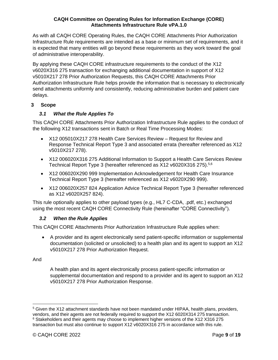As with all CAQH CORE Operating Rules, the CAQH CORE Attachments Prior Authorization Infrastructure Rule requirements are intended as a base or minimum set of requirements, and it is expected that many entities will go beyond these requirements as they work toward the goal of administrative interoperability.

By applying these CAQH CORE infrastructure requirements to the conduct of the X12 v6020X316 275 transaction for exchanging additional documentation in support of X12 v5010X217 278 Prior Authorization Requests, this CAQH CORE Attachments Prior Authorization Infrastructure Rule helps provide the information that is necessary to electronically send attachments uniformly and consistently, reducing administrative burden and patient care delays.

# <span id="page-8-0"></span>**3 Scope**

# <span id="page-8-1"></span>*3.1 What the Rule Applies To*

This CAQH CORE Attachments Prior Authorization Infrastructure Rule applies to the conduct of the following X12 transactions sent in Batch or Real Time Processing Modes:

- X12 005010X217 278 Health Care Services Review Request for Review and Response Technical Report Type 3 and associated errata (hereafter referenced as X12 v5010X217 278).
- X12 006020X316 275 Additional Information to Support a Health Care Services Review Technical Report Type 3 (hereafter referenced as X12 v6020X316 275).<sup>5,6</sup>
- X12 006020X290 999 Implementation Acknowledgement for Health Care Insurance Technical Report Type 3 (hereafter referenced as X12 v6020X290 999).
- X12 006020X257 824 Application Advice Technical Report Type 3 (hereafter referenced as X12 v6020X257 824).

This rule optionally applies to other payload types (e.g., HL7 C-CDA, .pdf, etc.) exchanged using the most recent CAQH CORE Connectivity Rule (hereinafter "CORE Connectivity").

# <span id="page-8-2"></span>*3.2 When the Rule Applies*

This CAQH CORE Attachments Prior Authorization Infrastructure Rule applies when:

• A provider and its agent electronically send patient-specific information or supplemental documentation (solicited or unsolicited) to a health plan and its agent to support an X12 v5010X217 278 Prior Authorization Request.

And

A health plan and its agent electronically process patient-specific information or supplemental documentation and respond to a provider and its agent to support an X12 v5010X217 278 Prior Authorization Response.

<sup>&</sup>lt;sup>5</sup> Given the X12 attachment standards have not been mandated under HIPAA, health plans, providers,

vendors, and their agents are not federally required to support the X12 6020X314 275 transaction. <sup>6</sup> Stakeholders and their agents may choose to implement higher versions of the X12 X316 275

transaction but must also continue to support X12 v6020X316 275 in accordance with this rule.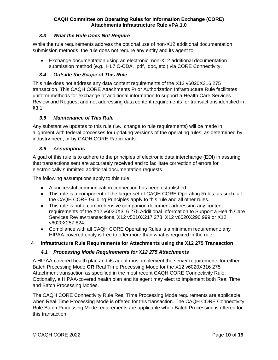# <span id="page-9-0"></span>*3.3 What the Rule Does Not Require*

While the rule requirements address the optional use of non-X12 additional documentation submission methods, the rule does not require any entity and its agent to:

• Exchange documentation using an electronic, non-X12 additional documentation submission method (e.g., HL7 C-CDA, .pdf, .doc, etc.) via CORE Connectivity.

#### <span id="page-9-1"></span>*3.4 Outside the Scope of This Rule*

This rule does not address any data content requirements of the X12 v6020X316 275 transaction. This CAQH CORE Attachments Prior Authorization Infrastructure Rule facilitates uniform methods for exchange of additional information to support a Health Care Services Review and Request and not addressing data content requirements for transactions identified in §3.1.

#### <span id="page-9-2"></span>*3.5 Maintenance of This Rule*

Any substantive updates to this rule (i.e., change to rule requirements) will be made in alignment with federal processes for updating versions of the operating rules, as determined by industry need, or by CAQH CORE Participants.

#### <span id="page-9-3"></span>*3.6 Assumptions*

A goal of this rule is to adhere to the principles of electronic data interchange (EDI) in assuring that transactions sent are accurately received and to facilitate correction of errors for electronically submitted additional documentation requests.

The following assumptions apply to this rule:

- A successful communication connection has been established.
- This rule is a component of the larger set of CAQH CORE Operating Rules; as such, all the CAQH CORE Guiding Principles apply to this rule and all other rules.
- This rule is not a comprehensive companion document addressing any content requirements of the X12 v6020X316 275 Additional Information to Support a Health Care Services Review transactions, X12 v5010X217 278, X12 v6020X290 999 or X12 v6020X257 824.
- Compliance with all CAQH CORE Operating Rules is a minimum requirement; any HIPAA-covered entity is free to offer more than what is required in the rule.

#### <span id="page-9-4"></span>**4 Infrastructure Rule Requirements for Attachments using the X12 275 Transaction**

#### <span id="page-9-5"></span>*4.1 Processing Mode Requirements for X12 275 Attachments*

A HIPAA-covered health plan and its agent must implement the server requirements for either Batch Processing Mode **OR** Real Time Processing Mode for the X12 v6020X316 275 Attachment transaction as specified in the most recent CAQH CORE Connectivity Rule. Optionally, a HIPAA-covered health plan and its agent may elect to implement both Real Time and Batch Processing Modes.

The CAQH CORE Connectivity Rule Real Time Processing Mode requirements are applicable when Real Time Processing Mode is offered for this transaction. The CAQH CORE Connectivity Rule Batch Processing Mode requirements are applicable when Batch Processing is offered for this transaction.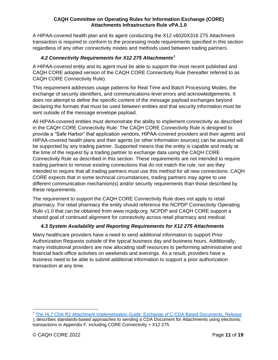A HIPAA-covered health plan and its agent conducting the X12 v6020X316 275 Attachment transaction is required to conform to the processing mode requirements specified in this section regardless of any other connectivity modes and methods used between trading partners.

# *4.2 Connectivity Requirements for X12 275 Attachments<sup>7</sup>*

<span id="page-10-0"></span>A HIPAA-covered entity and its agent must be able to support the most recent published and CAQH CORE adopted version of the CAQH CORE Connectivity Rule (hereafter referred to as CAQH CORE Connectivity Rule).

This requirement addresses usage patterns for Real Time and Batch Processing Modes, the exchange of security identifiers, and communications-level errors and acknowledgements. It does not attempt to define the specific content of the message payload exchanges beyond declaring the formats that must be used between entities and that security information must be sent outside of the message envelope payload.

All HIPAA-covered entities must demonstrate the ability to implement connectivity as described in the CAQH CORE Connectivity Rule. The CAQH CORE Connectivity Rule is designed to provide a "Safe Harbor" that application vendors, HIPAA-covered providers and their agents and HIPAA-covered health plans and their agents (or other information sources) can be assured will be supported by any trading partner. Supported means that the entity is capable and ready at the time of the request by a trading partner to exchange data using the CAQH CORE Connectivity Rule as described in this section. These requirements are not intended to require trading partners to remove existing connections that do not match the rule, nor are they intended to require that all trading partners must use this method for all new connections. CAQH CORE expects that in some technical circumstances, trading partners may agree to use different communication mechanism(s) and/or security requirements than those described by these requirements.

The requirement to support the CAQH CORE Connectivity Rule does not apply to retail pharmacy. For retail pharmacy the entity should reference the NCPDP Connectivity Operating Rule v1.0 that can be obtained from www.ncpdp.org. NCPDP and CAQH CORE support a shared goal of continued alignment for connectivity across retail pharmacy and medical.

#### *4.3 System Availability and Reporting Requirements for X12 275 Attachments*

<span id="page-10-1"></span>Many healthcare providers have a need to send additional information to support Prior Authorization Requests outside of the typical business day and business hours. Additionally, many institutional providers are now allocating staff resources to performing administrative and financial back-office activities on weekends and evenings. As a result, providers have a business need to be able to submit additional information to support a prior authorization transaction at any time.

<sup>7</sup> [The HL7 CDA R2 Attachment Implementation Guide: Exchange of C-CDA Based Documents, Release](https://www.hl7.org/documentcenter/public/standards/dstu/CDAR2_AIG_CCDA_EXCHANGE_R1_STU_2017AUG.pdf)  [1](https://www.hl7.org/documentcenter/public/standards/dstu/CDAR2_AIG_CCDA_EXCHANGE_R1_STU_2017AUG.pdf) describes standards-based approaches to sending a CDA Document for Attachments using electronic transactions in Appendix F, including CORE Connectivity + X12 275.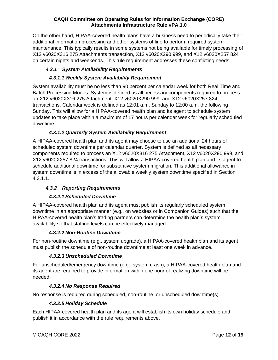On the other hand, HIPAA-covered health plans have a business need to periodically take their additional information processing and other systems offline to perform required system maintenance. This typically results in some systems not being available for timely processing of X12 v6020X316 275 Attachments transaction, X12 v6020X290 999, and X12 v6020X257 824 on certain nights and weekends. This rule requirement addresses these conflicting needs.

# *4.3.1 System Availability Requirements*

# <span id="page-11-0"></span>*4.3.1.1 Weekly System Availability Requirement*

<span id="page-11-1"></span>System availability must be no less than 90 percent per calendar week for both Real Time and Batch Processing Modes. System is defined as all necessary components required to process an X12 v6020X316 275 Attachment, X12 v6020X290 999, and X12 v6020X257 824 transactions. Calendar week is defined as 12:01 a.m. Sunday to 12:00 a.m. the following Sunday. This will allow for a HIPAA-covered health plan and its agent to schedule system updates to take place within a maximum of 17 hours per calendar week for regularly scheduled downtime.

# *4.3.1.2 Quarterly System Availability Requirement*

<span id="page-11-2"></span>A HIPAA-covered health plan and its agent may choose to use an additional 24 hours of scheduled system downtime per calendar quarter. System is defined as all necessary components required to process an X12 v6020X316 275 Attachment, X12 v6020X290 999, and X12 v6020X257 824 transactions. This will allow a HIPAA-covered health plan and its agent to schedule additional downtime for substantive system migration. This additional allowance in system downtime is in excess of the allowable weekly system downtime specified in Section 4.3.1.1.

# <span id="page-11-3"></span>*4.3.2 Reporting Requirements*

# *4.3.2.1 Scheduled Downtime*

<span id="page-11-4"></span>A HIPAA-covered health plan and its agent must publish its regularly scheduled system downtime in an appropriate manner (e.g., on websites or in Companion Guides) such that the HIPAA-covered health plan's trading partners can determine the health plan's system availability so that staffing levels can be effectively managed.

# **4.3.2.2** *Non-Routine Downtime*

<span id="page-11-5"></span>For non-routine downtime (e.g., system upgrade), a HIPAA-covered health plan and its agent must publish the schedule of non-routine downtime at least one week in advance.

# *4.3.2.3 Unscheduled Downtime*

<span id="page-11-6"></span>For unscheduled/emergency downtime (e.g., system crash), a HIPAA-covered health plan and its agent are required to provide information within one hour of realizing downtime will be needed.

# *4.3.2.4 No Response Required*

<span id="page-11-7"></span>No response is required during scheduled, non-routine, or unscheduled downtime(s).

#### *4.3.2.5 Holiday Schedule*

<span id="page-11-8"></span>Each HIPAA-covered health plan and its agent will establish its own holiday schedule and publish it in accordance with the rule requirements above.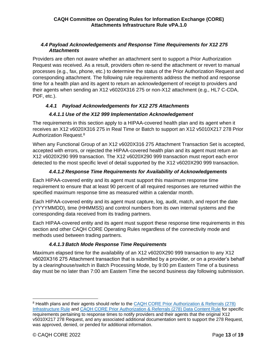# <span id="page-12-0"></span>*4.4 Payload Acknowledgements and Response Time Requirements for X12 275 Attachments*

Providers are often not aware whether an attachment sent to support a Prior Authorization Request was received. As a result, providers often re-send the attachment or revert to manual processes (e.g., fax, phone, etc.) to determine the status of the Prior Authorization Request and corresponding attachment. The following rule requirements address the method and response time for a health plan and its agent to return an acknowledgement of receipt to providers and their agents when sending an X12 v6020X316 275 or non-X12 attachment (e.g., HL7 C-CDA, PDF, etc.).

# <span id="page-12-1"></span>*4.4.1 Payload Acknowledgements for X12 275 Attachments*

# *4.4.1.1 Use of the X12 999 Implementation Acknowledgement*

<span id="page-12-2"></span>The requirements in this section apply to a HIPAA-covered health plan and its agent when it receives an X12 v6020X316 275 in Real Time or Batch to support an X12 v5010X217 278 Prior Authorization Request.<sup>8</sup>

When any Functional Group of an X12 v6020X316 275 Attachment Transaction Set is accepted, accepted with errors, or rejected the HIPAA-covered health plan and its agent must return an X12 v6020X290 999 transaction. The X12 v6020X290 999 transaction must report each error detected to the most specific level of detail supported by the X12 v6020X290 999 transaction.

# *4.4.1.2 Response Time Requirements for Availability of Acknowledgements*

<span id="page-12-3"></span>Each HIPAA-covered entity and its agent must support this maximum response time requirement to ensure that at least 90 percent of all required responses are returned within the specified maximum response time as measured within a calendar month.

Each HIPAA-covered entity and its agent must capture, log, audit, match, and report the date (YYYYMMDD), time (HHMMSS) and control numbers from its own internal systems and the corresponding data received from its trading partners.

Each HIPAA-covered entity and its agent must support these response time requirements in this section and other CAQH CORE Operating Rules regardless of the connectivity mode and methods used between trading partners.

# *4.4.1.3 Batch Mode Response Time Requirements*

<span id="page-12-4"></span>Maximum elapsed time for the availability of an X12 v6020X290 999 transaction to any X12 v6020X316 275 Attachment transaction that is submitted by a provider, or on a provider's behalf by a clearinghouse/switch in Batch Processing Mode, by 9:00 pm Eastern Time of a business day must be no later than 7:00 am Eastern Time the second business day following submission.

<sup>8</sup> Health plans and their agents should refer to the [CAQH CORE Prior Authorization & Referrals \(278\)](https://www.caqh.org/sites/default/files/core/Prior-Authorization-Referrals-278-Infrastructure-Rule.pdf?token=34jFjWSO)  [Infrastructure Rule](https://www.caqh.org/sites/default/files/core/Prior-Authorization-Referrals-278-Infrastructure-Rule.pdf?token=34jFjWSO) and [CAQH CORE Prior Authorization & Referrals \(278\) Data Content Rule](https://www.caqh.org/sites/default/files/core/Prior-Authorization-Referrals-278-Data-Content-Rule.pdf?token=oWySX4-N) for specific requirements pertaining to response times to notify providers and their agents that the original X12 v5010X217 278 Request, and any associated additional documentation sent to support the 278 Request, was approved, denied, or pended for additional information.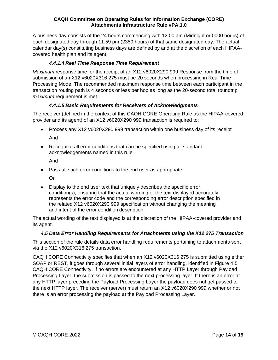A business day consists of the 24 hours commencing with 12:00 am (Midnight or 0000 hours) of each designated day through 11:59 pm (2359 hours) of that same designated day. The actual calendar day(s) constituting business days are defined by and at the discretion of each HIPAAcovered health plan and its agent.

# *4.4.1.4 Real Time Response Time Requirement*

<span id="page-13-0"></span>*Maximum* response time for the receipt of an X12 v6020X290 999 Response from the time of submission of an X12 v6020X316 275 must be 20 seconds when processing in Real Time Processing Mode. The recommended maximum response time between each participant in the transaction routing path is 4 seconds or less per hop as long as the 20-second total roundtrip *maximum* requirement is met.

# *4.4.1.5 Basic Requirements for Receivers of Acknowledgments*

<span id="page-13-1"></span>The receiver (defined in the context of this CAQH CORE Operating Rule as the HIPAA-covered provider and its agent) of an X12 v6020X290 999 transaction is required to:

- Process any X12 v6020X290 999 transaction within one business day of its receipt And
- Recognize all error conditions that can be specified using all standard acknowledgements named in this rule

And

• Pass all such error conditions to the end user as appropriate

Or

• Display to the end user text that uniquely describes the specific error condition(s), ensuring that the actual wording of the text displayed accurately represents the error code and the corresponding error description specified in the related X12 v6020X290 999 specification without changing the meaning and intent of the error condition description.

The actual wording of the text displayed is at the discretion of the HIPAA-covered provider and its agent.

# *4.5 Data Error Handling Requirements for Attachments using the X12 275 Transaction*

<span id="page-13-2"></span>This section of the rule details data error handling requirements pertaining to attachments sent via the X12 v6020X316 275 transaction.

CAQH CORE Connectivity specifies that when an X12 v6020X316 275 is submitted using either SOAP or REST, it goes through several initial layers of error handling, identified in Figure 4.5 CAQH CORE Connectivity. If no errors are encountered at any HTTP Layer through Payload Processing Layer, the submission is passed to the next processing layer. If there is an error at any HTTP layer preceding the Payload Processing Layer the payload does not get passed to the next HTTP layer. The receiver (server) must return an X12 v6020X290 999 whether or not there is an error processing the payload at the Payload Processing Layer.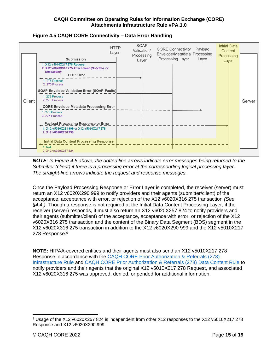

#### **Figure 4.5 CAQH CORE Connectivity – Data Error Handling**

*NOTE: In Figure 4.5 above, the dotted line arrows indicate error messages being returned to the Submitter (client) if there is a processing error at the corresponding logical processing layer. The straight-line arrows indicate the request and response messages.*

Once the Payload Processing Response or Error Layer is completed, the receiver (server) must return an X12 v6020X290 999 to notify providers and their agents (submitter/client) of the acceptance, acceptance with error, or rejection of the X12 v6020X316 275 transaction *(See*  §*4.4.)*. Though a response is not required at the Initial Data Content Processing Layer, if the receiver (server) responds, it must also return an X12 v6020X257 824 to notify providers and their agents (submitter/client) of the acceptance, acceptance with error, or rejection of the X12 v6020X316 275 transaction and the content of the Binary Data Segment (BDS) segment in the X12 v6020X316 275 transaction in addition to the X12 v6020X290 999 and the X12 v5010X217 278 Response. 9

**NOTE:** HIPAA-covered entities and their agents must also send an X12 v5010X217 278 Response in accordance with the CAQH CORE Prior Authorization & Referrals (278) Infrastructure Rule and CAQH CORE Prior Authorization & Referrals (278) Data Content Rule to notify providers and their agents that the original X12 v5010X217 278 Request, and associated X12 v6020X316 275 was approved, denied, or pended for additional information.

<sup>9</sup> Usage of the X12 v6020X257 824 is independent from other X12 responses to the X12 v5010X217 278 Response and X12 v6020X290 999.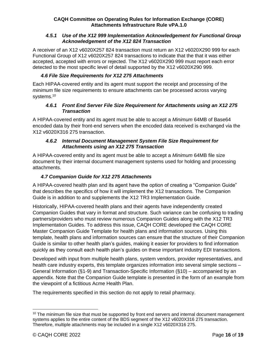#### <span id="page-15-0"></span>*4.5.1 Use of the X12 999 Implementation Acknowledgement for Functional Group Acknowledgement of the X12 824 Transaction*

A receiver of an X12 v6020X257 824 transaction must return an X12 v6020X290 999 for each Functional Group of X12 v6020X257 824 transactions to indicate that the that it was either accepted, accepted with errors or rejected. The X12 v6020X290 999 must report each error detected to the most specific level of detail supported by the X12 v6020X290 999.

# *4.6 File Size Requirements for X12 275 Attachments*

<span id="page-15-1"></span>Each HIPAA-covered entity and its agent must support the receipt and processing of the *minimum* file size requirements to ensure attachments can be processed across varying systems.<sup>10</sup>

# <span id="page-15-2"></span>*4.6.1 Front End Server File Size Requirement for Attachments using an X12 275 Transaction*

A HIPAA-covered entity and its agent must be able to accept a *Minimum* 64MB of Base64 encoded data by their front-end servers when the encoded data received is exchanged via the X12 v6020X316 275 transaction.

#### <span id="page-15-3"></span>*4.6.2 Internal Document Management System File Size Requirement for Attachments using an X12 275 Transaction*

A HIPAA-covered entity and its agent must be able to accept a *Minimum* 64MB file size document by their internal document management systems used for holding and processing attachments.

# *4.7 Companion Guide for X12 275 Attachments*

<span id="page-15-4"></span>A HIPAA-covered health plan and its agent have the option of creating a "Companion Guide" that describes the specifics of how it will implement the X12 transactions. The Companion Guide is in addition to and supplements the X12 TR3 Implementation Guide.

Historically, HIPAA-covered health plans and their agents have independently created Companion Guides that vary in format and structure. Such variance can be confusing to trading partners/providers who must review numerous Companion Guides along with the X12 TR3 Implementation Guides. To address this issue, CAQH CORE developed the CAQH CORE Master Companion Guide Template for health plans and information sources. Using this template, health plans and information sources can ensure that the structure of their Companion Guide is similar to other health plan's guides, making it easier for providers to find information quickly as they consult each health plan's guides on these important industry EDI transactions.

Developed with input from multiple health plans, system vendors, provider representatives, and health care industry experts, this template organizes information into several simple sections – General Information (§1-9) and Transaction-Specific Information (§10) – accompanied by an appendix. Note that the Companion Guide template is presented in the form of an example from the viewpoint of a fictitious Acme Health Plan.

The requirements specified in this section do not apply to retail pharmacy.

 $10$  The minimum file size that must be supported by front end servers and internal document management systems applies to the entire content of the BDS segment of the X12 v6020X316 275 transaction. Therefore, multiple attachments may be included in a single X12 v6020X316 275.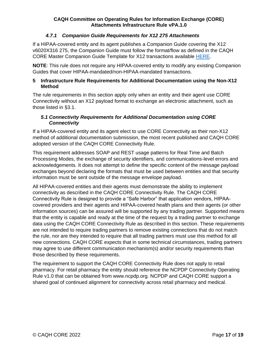# *4.7.1 Companion Guide Requirements for X12 275 Attachments*

<span id="page-16-0"></span>If a HIPAA-covered entity and its agent publishes a Companion Guide covering the X12 v6020X316 275, the Companion Guide must follow the format/flow as defined in the CAQH CORE Master Companion Guide Template for X12 transactions available [HERE.](https://www.caqh.org/sites/default/files/core/CAQH_CORE_5010_Master_Companion_Guide_Template.pdf)

**NOTE**: This rule does not require any HIPAA-covered entity to modify any existing Companion Guides that cover HIPAA-mandated/non-HIPAA-mandated transactions.

#### <span id="page-16-1"></span>**5 Infrastructure Rule Requirements for Additional Documentation using the Non-X12 Method**

The rule requirements in this section apply only when an entity and their agent use CORE Connectivity without an X12 payload format to exchange an electronic attachment, such as those listed in §3.1.

#### <span id="page-16-2"></span>*5.1 Connectivity Requirements for Additional Documentation using CORE Connectivity*

If a HIPAA-covered entity and its agent elect to use CORE Connectivity as their non-X12 method of additional documentation submission, the most recent published and CAQH CORE adopted version of the CAQH CORE Connectivity Rule.

This requirement addresses SOAP and REST usage patterns for Real Time and Batch Processing Modes, the exchange of security identifiers, and communications-level errors and acknowledgements. It does not attempt to define the specific content of the message payload exchanges beyond declaring the formats that must be used between entities and that security information must be sent outside of the message envelope payload.

All HIPAA-covered entities and their agents must demonstrate the ability to implement connectivity as described in the CAQH CORE Connectivity Rule. The CAQH CORE Connectivity Rule is designed to provide a "Safe Harbor" that application vendors, HIPAAcovered providers and their agents and HIPAA-covered health plans and their agents (or other information sources) can be assured will be supported by any trading partner. Supported means that the entity is capable and ready at the time of the request by a trading partner to exchange data using the CAQH CORE Connectivity Rule as described in this section. These requirements are not intended to require trading partners to remove existing connections that do not match the rule, nor are they intended to require that all trading partners must use this method for all new connections. CAQH CORE expects that in some technical circumstances, trading partners may agree to use different communication mechanism(s) and/or security requirements than those described by these requirements.

The requirement to support the CAQH CORE Connectivity Rule does not apply to retail pharmacy. For retail pharmacy the entity should reference the NCPDP Connectivity Operating Rule v1.0 that can be obtained from www.ncpdp.org. NCPDP and CAQH CORE support a shared goal of continued alignment for connectivity across retail pharmacy and medical.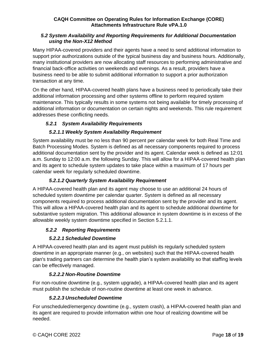#### <span id="page-17-0"></span>*5.2 System Availability and Reporting Requirements for Additional Documentation using the Non-X12 Method*

Many HIPAA-covered providers and their agents have a need to send additional information to support prior authorizations outside of the typical business day and business hours. Additionally, many institutional providers are now allocating staff resources to performing administrative and financial back-office activities on weekends and evenings. As a result, providers have a business need to be able to submit additional information to support a prior authorization transaction at any time.

On the other hand, HIPAA-covered health plans have a business need to periodically take their additional information processing and other systems offline to perform required system maintenance. This typically results in some systems not being available for timely processing of additional information or documentation on certain nights and weekends. This rule requirement addresses these conflicting needs.

# <span id="page-17-1"></span>*5.2.1 System Availability Requirements*

# *5.2.1.1 Weekly System Availability Requirement*

<span id="page-17-2"></span>System availability must be no less than 90 percent per calendar week for both Real Time and Batch Processing Modes. System is defined as all necessary components required to process additional documentation sent by the provider and its agent. Calendar week is defined as 12:01 a.m. Sunday to 12:00 a.m. the following Sunday. This will allow for a HIPAA-covered health plan and its agent to schedule system updates to take place within a maximum of 17 hours per calendar week for regularly scheduled downtime.

# *5.2.1.2 Quarterly System Availability Requirement*

<span id="page-17-3"></span>A HIPAA-covered health plan and its agent may choose to use an additional 24 hours of scheduled system downtime per calendar quarter. System is defined as all necessary components required to process additional documentation sent by the provider and its agent. This will allow a HIPAA-covered health plan and its agent to schedule additional downtime for substantive system migration. This additional allowance in system downtime is in excess of the allowable weekly system downtime specified in Section 5.2.1.1.

# <span id="page-17-4"></span>*5.2.2 Reporting Requirements*

# *5.2.2.1 Scheduled Downtime*

<span id="page-17-5"></span>A HIPAA-covered health plan and its agent must publish its regularly scheduled system downtime in an appropriate manner (e.g., on websites) such that the HIPAA-covered health plan's trading partners can determine the health plan's system availability so that staffing levels can be effectively managed.

# *5.2.2.2 Non-Routine Downtime*

<span id="page-17-6"></span>For non-routine downtime (e.g., system upgrade), a HIPAA-covered health plan and its agent must publish the schedule of non-routine downtime at least one week in advance.

# *5.2.2.3 Unscheduled Downtime*

<span id="page-17-7"></span>For unscheduled/emergency downtime (e.g., system crash), a HIPAA-covered health plan and its agent are required to provide information within one hour of realizing downtime will be needed.